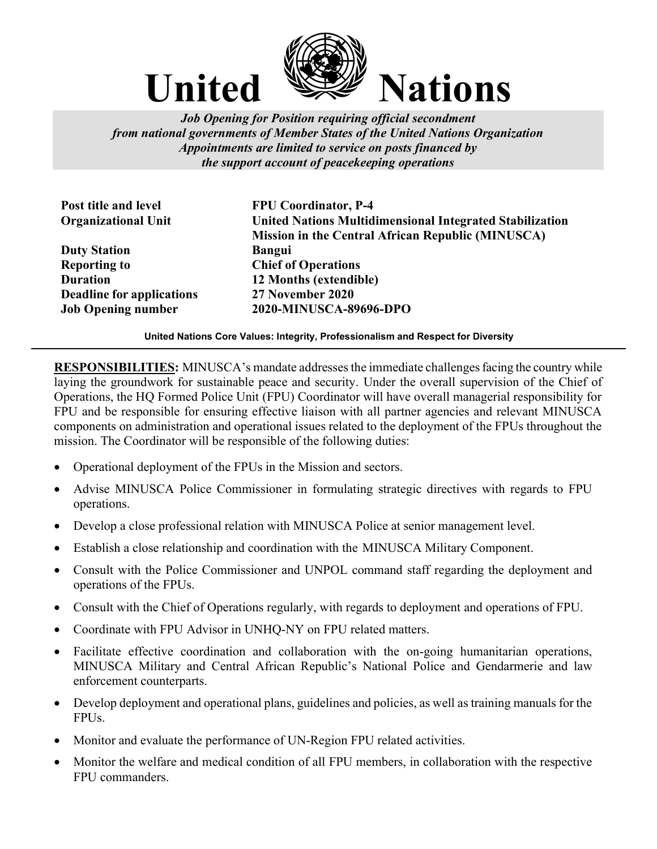

Job Opening for Position requiring official secondment from national governments of Member States of the United Nations Organization Appointments are limited to service on posts financed by the support account of peacekeeping operations

Duty Station **Bangui** Reporting to Chief of Operations Duration 12 Months (extendible) Deadline for applications 27 November 2020

Post title and level FPU Coordinator, P-4 Organizational Unit United Nations Multidimensional Integrated Stabilization Mission in the Central African Republic (MINUSCA) Job Opening number 2020-MINUSCA-89696-DPO

United Nations Core Values: Integrity, Professionalism and Respect for Diversity

RESPONSIBILITIES: MINUSCA's mandate addresses the immediate challenges facing the country while laying the groundwork for sustainable peace and security. Under the overall supervision of the Chief of Operations, the HQ Formed Police Unit (FPU) Coordinator will have overall managerial responsibility for FPU and be responsible for ensuring effective liaison with all partner agencies and relevant MINUSCA components on administration and operational issues related to the deployment of the FPUs throughout the mission. The Coordinator will be responsible of the following duties:

- Operational deployment of the FPUs in the Mission and sectors.
- Advise MINUSCA Police Commissioner in formulating strategic directives with regards to FPU operations.
- Develop a close professional relation with MINUSCA Police at senior management level.
- Establish a close relationship and coordination with the MINUSCA Military Component.
- Consult with the Police Commissioner and UNPOL command staff regarding the deployment and operations of the FPUs.
- Consult with the Chief of Operations regularly, with regards to deployment and operations of FPU.
- Coordinate with FPU Advisor in UNHQ-NY on FPU related matters.
- Facilitate effective coordination and collaboration with the on-going humanitarian operations, MINUSCA Military and Central African Republic's National Police and Gendarmerie and law enforcement counterparts.
- Develop deployment and operational plans, guidelines and policies, as well as training manuals for the FPUs.
- Monitor and evaluate the performance of UN-Region FPU related activities.
- Monitor the welfare and medical condition of all FPU members, in collaboration with the respective FPU commanders.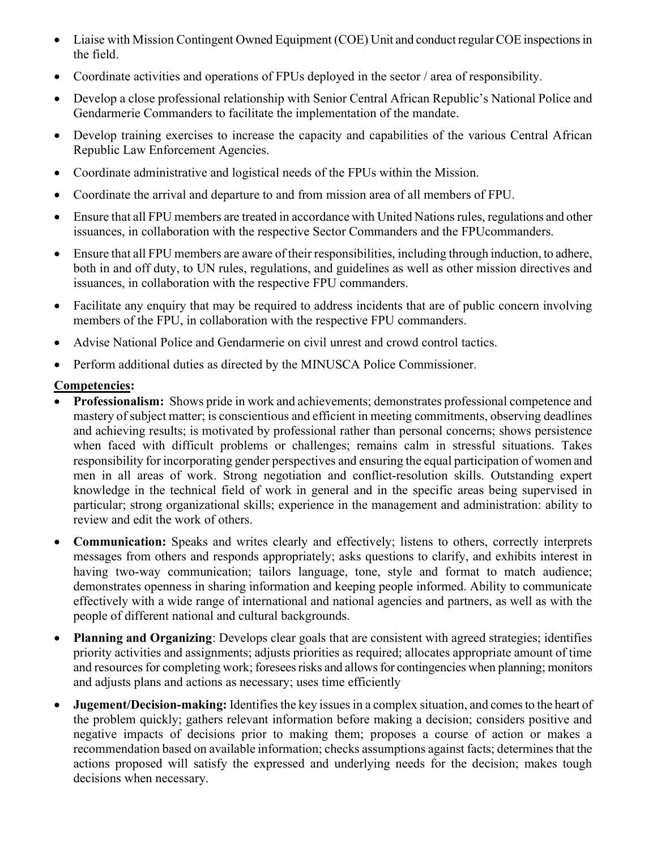- Liaise with Mission Contingent Owned Equipment (COE) Unit and conduct regular COE inspections in the field.
- Coordinate activities and operations of FPUs deployed in the sector / area of responsibility.
- Develop a close professional relationship with Senior Central African Republic's National Police and Gendarmerie Commanders to facilitate the implementation of the mandate.
- Develop training exercises to increase the capacity and capabilities of the various Central African Republic Law Enforcement Agencies.
- Coordinate administrative and logistical needs of the FPUs within the Mission.
- Coordinate the arrival and departure to and from mission area of all members of FPU.
- Ensure that all FPU members are treated in accordance with United Nations rules, regulations and other issuances, in collaboration with the respective Sector Commanders and the FPUcommanders.
- Ensure that all FPU members are aware of their responsibilities, including through induction, to adhere, both in and off duty, to UN rules, regulations, and guidelines as well as other mission directives and issuances, in collaboration with the respective FPU commanders.
- Facilitate any enquiry that may be required to address incidents that are of public concern involving members of the FPU, in collaboration with the respective FPU commanders.
- Advise National Police and Gendarmerie on civil unrest and crowd control tactics.
- Perform additional duties as directed by the MINUSCA Police Commissioner.

## Competencies:

- Professionalism: Shows pride in work and achievements; demonstrates professional competence and mastery of subject matter; is conscientious and efficient in meeting commitments, observing deadlines and achieving results; is motivated by professional rather than personal concerns; shows persistence when faced with difficult problems or challenges; remains calm in stressful situations. Takes responsibility for incorporating gender perspectives and ensuring the equal participation of women and men in all areas of work. Strong negotiation and conflict-resolution skills. Outstanding expert knowledge in the technical field of work in general and in the specific areas being supervised in particular; strong organizational skills; experience in the management and administration: ability to review and edit the work of others.
- Communication: Speaks and writes clearly and effectively; listens to others, correctly interprets messages from others and responds appropriately; asks questions to clarify, and exhibits interest in having two-way communication; tailors language, tone, style and format to match audience; demonstrates openness in sharing information and keeping people informed. Ability to communicate effectively with a wide range of international and national agencies and partners, as well as with the people of different national and cultural backgrounds.
- Planning and Organizing: Develops clear goals that are consistent with agreed strategies; identifies priority activities and assignments; adjusts priorities as required; allocates appropriate amount of time and resources for completing work; foresees risks and allows for contingencies when planning; monitors and adjusts plans and actions as necessary; uses time efficiently
- Jugement/Decision-making: Identifies the key issues in a complex situation, and comes to the heart of the problem quickly; gathers relevant information before making a decision; considers positive and negative impacts of decisions prior to making them; proposes a course of action or makes a recommendation based on available information; checks assumptions against facts; determines that the actions proposed will satisfy the expressed and underlying needs for the decision; makes tough decisions when necessary.